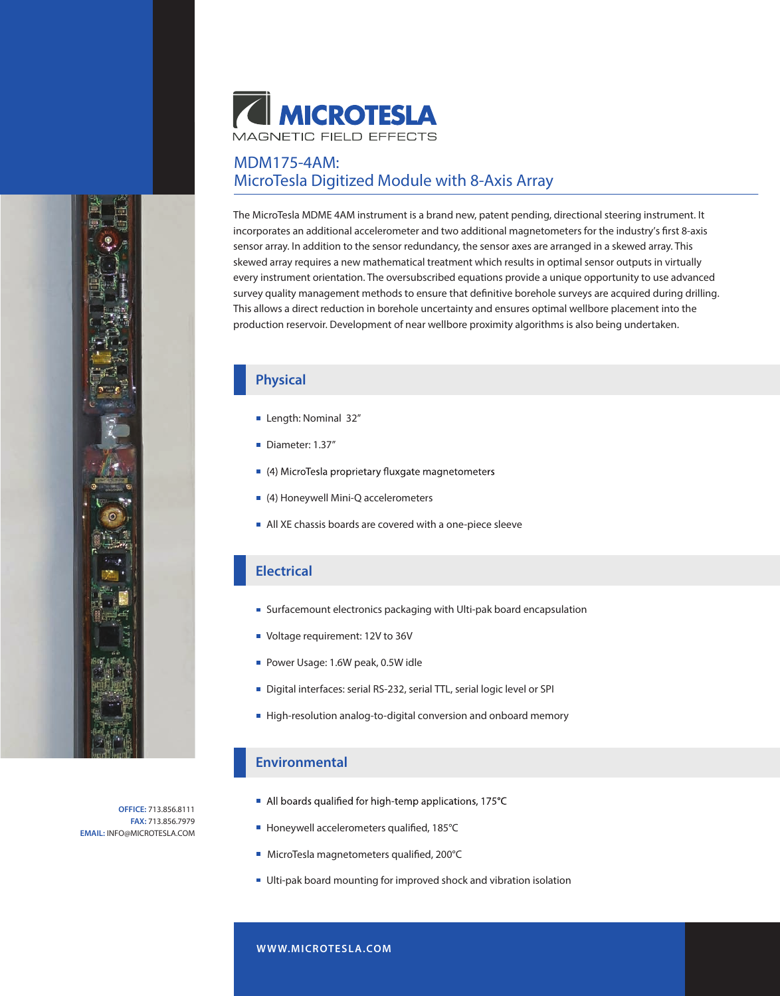

# MDM175-4AM: MicroTesla Digitized Module with 8-Axis Array

The MicroTesla MDME 4AM instrument is a brand new, patent pending, directional steering instrument. It incorporates an additional accelerometer and two additional magnetometers for the industry's first 8-axis sensor array. In addition to the sensor redundancy, the sensor axes are arranged in a skewed array. This skewed array requires a new mathematical treatment which results in optimal sensor outputs in virtually every instrument orientation. The oversubscribed equations provide a unique opportunity to use advanced survey quality management methods to ensure that definitive borehole surveys are acquired during drilling. This allows a direct reduction in borehole uncertainty and ensures optimal wellbore placement into the production reservoir. Development of near wellbore proximity algorithms is also being undertaken.

### **Physical**

- Length: Nominal 32"
- Diameter: 1.37"
- 4) MicroTesla proprietary fluxgate magnetometers
- (4) Honeywell Mini-Q accelerometers
- All XE chassis boards are covered with a one-piece sleeve

#### **Electrical**

- Surfacemount electronics packaging with Ulti-pak board encapsulation
- Voltage requirement: 12V to 36V
- Power Usage: 1.6W peak, 0.5W idle
- Digital interfaces: serial RS-232, serial TTL, serial logic level or SPI
- High-resolution analog-to-digital conversion and onboard memory

#### **Environmental**

- All boards qualified for high-temp applications, 175°C
- Honeywell accelerometers qualified, 185°C
- MicroTesla magnetometers qualified, 200°C
- Ulti-pak board mounting for improved shock and vibration isolation

**OFFICE:** 713.856.8111 **FAX:** 713.856.7979 **EMAIL:** INFO@MICROTESLA.COM